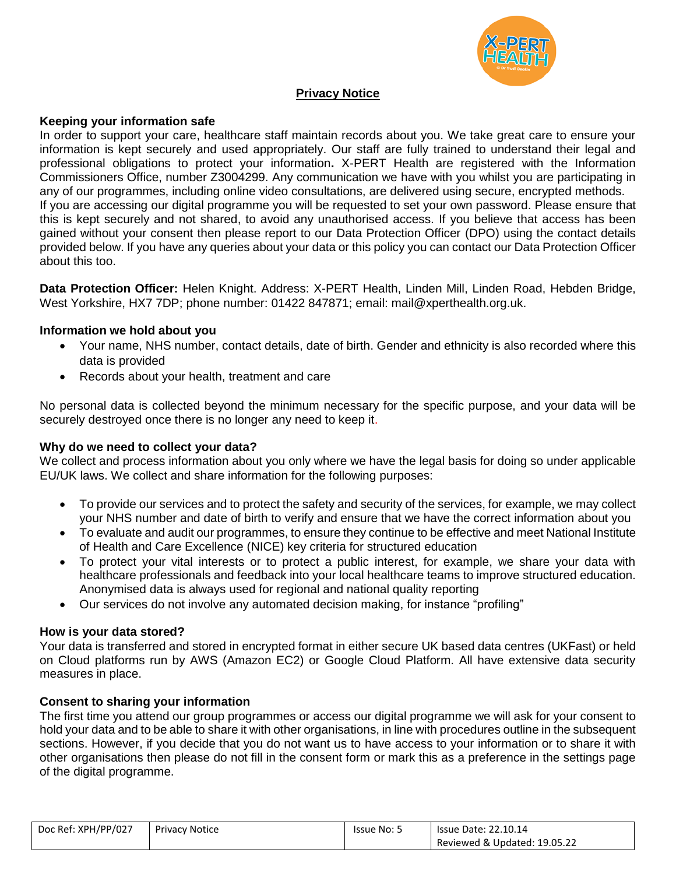

# **Privacy Notice**

#### **Keeping your information safe**

In order to support your care, healthcare staff maintain records about you. We take great care to ensure your information is kept securely and used appropriately. Our staff are fully trained to understand their legal and professional obligations to protect your information**.** X-PERT Health are registered with the Information Commissioners Office, number Z3004299. Any communication we have with you whilst you are participating in any of our programmes, including online video consultations, are delivered using secure, encrypted methods. If you are accessing our digital programme you will be requested to set your own password. Please ensure that this is kept securely and not shared, to avoid any unauthorised access. If you believe that access has been gained without your consent then please report to our Data Protection Officer (DPO) using the contact details provided below. If you have any queries about your data or this policy you can contact our Data Protection Officer about this too.

**Data Protection Officer:** Helen Knight. Address: X-PERT Health, Linden Mill, Linden Road, Hebden Bridge, West Yorkshire, HX7 7DP; phone number: 01422 847871; email: mail@xperthealth.org.uk.

#### **Information we hold about you**

- Your name, NHS number, contact details, date of birth. Gender and ethnicity is also recorded where this data is provided
- Records about your health, treatment and care

No personal data is collected beyond the minimum necessary for the specific purpose, and your data will be securely destroyed once there is no longer any need to keep it.

#### **Why do we need to collect your data?**

We collect and process information about you only where we have the legal basis for doing so under applicable EU/UK laws. We collect and share information for the following purposes:

- To provide our services and to protect the safety and security of the services, for example, we may collect your NHS number and date of birth to verify and ensure that we have the correct information about you
- To evaluate and audit our programmes, to ensure they continue to be effective and meet National Institute of Health and Care Excellence (NICE) key criteria for structured education
- To protect your vital interests or to protect a public interest, for example, we share your data with healthcare professionals and feedback into your local healthcare teams to improve structured education. Anonymised data is always used for regional and national quality reporting
- Our services do not involve any automated decision making, for instance "profiling"

#### **How is your data stored?**

Your data is transferred and stored in encrypted format in either secure UK based data centres (UKFast) or held on Cloud platforms run by AWS (Amazon EC2) or Google Cloud Platform. All have extensive data security measures in place.

#### **Consent to sharing your information**

The first time you attend our group programmes or access our digital programme we will ask for your consent to hold your data and to be able to share it with other organisations, in line with procedures outline in the subsequent sections. However, if you decide that you do not want us to have access to your information or to share it with other organisations then please do not fill in the consent form or mark this as a preference in the settings page of the digital programme.

| Doc Ref: XPH/PP/027 | <b>Privacy Notice</b> | <b>Issue No: 5</b> | <b>Issue Date: 22.10.14</b>  |
|---------------------|-----------------------|--------------------|------------------------------|
|                     |                       |                    | Reviewed & Updated: 19.05.22 |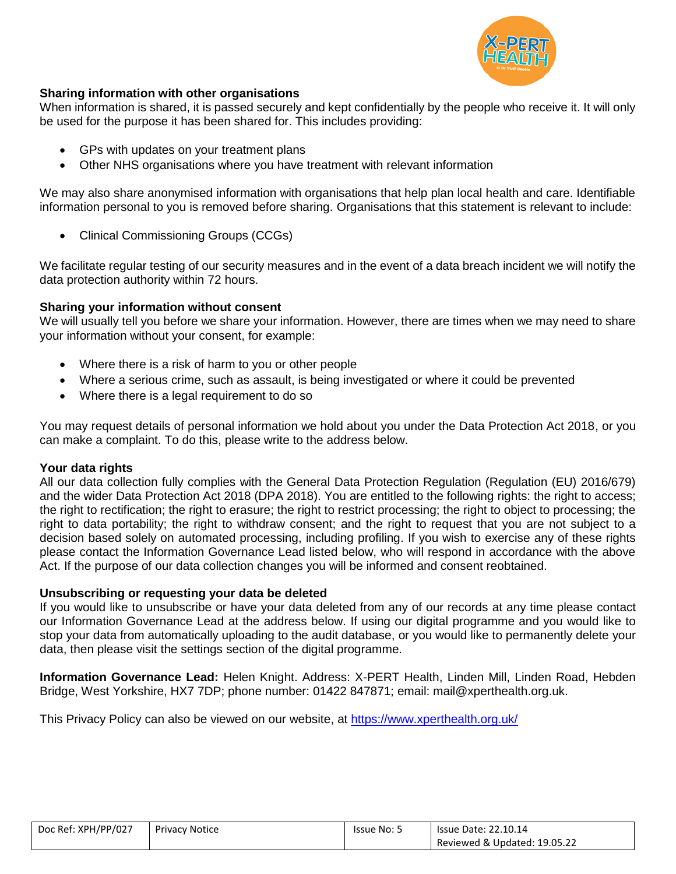

# **Sharing information with other organisations**

When information is shared, it is passed securely and kept confidentially by the people who receive it. It will only be used for the purpose it has been shared for. This includes providing:

- GPs with updates on your treatment plans
- Other NHS organisations where you have treatment with relevant information

We may also share anonymised information with organisations that help plan local health and care. Identifiable information personal to you is removed before sharing. Organisations that this statement is relevant to include:

Clinical Commissioning Groups (CCGs)

We facilitate regular testing of our security measures and in the event of a data breach incident we will notify the data protection authority within 72 hours.

# **Sharing your information without consent**

We will usually tell you before we share your information. However, there are times when we may need to share your information without your consent, for example:

- Where there is a risk of harm to you or other people
- Where a serious crime, such as assault, is being investigated or where it could be prevented
- Where there is a legal requirement to do so

You may request details of personal information we hold about you under the Data Protection Act 2018, or you can make a complaint. To do this, please write to the address below.

# **Your data rights**

All our data collection fully complies with the General Data Protection Regulation (Regulation (EU) 2016/679) and the wider Data Protection Act 2018 (DPA 2018). You are entitled to the following rights: the right to access; the right to rectification; the right to erasure; the right to restrict processing; the right to object to processing; the right to data portability; the right to withdraw consent; and the right to request that you are not subject to a decision based solely on automated processing, including profiling. If you wish to exercise any of these rights please contact the Information Governance Lead listed below, who will respond in accordance with the above Act. If the purpose of our data collection changes you will be informed and consent reobtained.

# **Unsubscribing or requesting your data be deleted**

If you would like to unsubscribe or have your data deleted from any of our records at any time please contact our Information Governance Lead at the address below. If using our digital programme and you would like to stop your data from automatically uploading to the audit database, or you would like to permanently delete your data, then please visit the settings section of the digital programme.

**Information Governance Lead:** Helen Knight. Address: X-PERT Health, Linden Mill, Linden Road, Hebden Bridge, West Yorkshire, HX7 7DP; phone number: 01422 847871; email: mail@xperthealth.org.uk.

This Privacy Policy can also be viewed on our website, at <https://www.xperthealth.org.uk/>

| Doc Ref: XPH/PP/027 | Privacy Notice | Issue No: 5 | <b>Issue Date: 22.10.14</b>  |
|---------------------|----------------|-------------|------------------------------|
|                     |                |             | Reviewed & Updated: 19.05.22 |